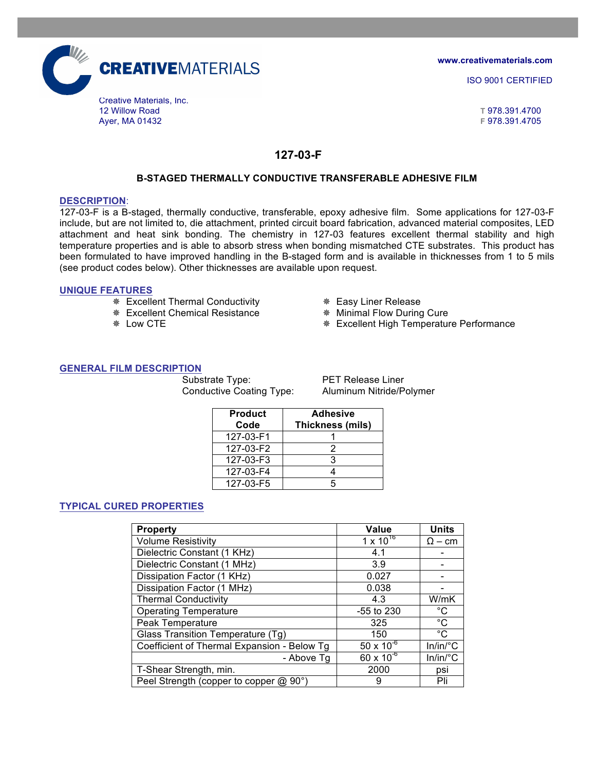

**www.creativematerials.com**

ISO 9001 CERTIFIED

Ayer, MA 01432 **F** 978.391.4705

# **127-03-F**

# **B-STAGED THERMALLY CONDUCTIVE TRANSFERABLE ADHESIVE FILM**

### **DESCRIPTION**:

127-03-F is a B-staged, thermally conductive, transferable, epoxy adhesive film. Some applications for 127-03-F include, but are not limited to, die attachment, printed circuit board fabrication, advanced material composites, LED attachment and heat sink bonding. The chemistry in 127-03 features excellent thermal stability and high temperature properties and is able to absorb stress when bonding mismatched CTE substrates. This product has been formulated to have improved handling in the B-staged form and is available in thicknesses from 1 to 5 mils (see product codes below). Other thicknesses are available upon request.

### **UNIQUE FEATURES**

- \* Excellent Thermal Conductivity \* \* Easy Liner Release
- \* Excellent Chemical Resistance \* \* Minimal Flow During Cure
- 
- 
- 
- \* Low CTE **1992 CONFIDENT ASSESSMENT ASSESSMENT ASSESSMENT AND ACTUAL ACTION**

### **GENERAL FILM DESCRIPTION**

Substrate Type: PET Release Liner

Conductive Coating Type: Aluminum Nitride/Polymer

| <b>Product</b><br>Code | <b>Adhesive</b><br>Thickness (mils) |
|------------------------|-------------------------------------|
| 127-03-F1              |                                     |
| 127-03-F2              | 2                                   |
| 127-03-F3              |                                     |
| 127-03-F4              |                                     |
| 127-03-F5              |                                     |

# **TYPICAL CURED PROPERTIES**

| <b>Property</b>                             | Value               | <b>Units</b>      |
|---------------------------------------------|---------------------|-------------------|
| <b>Volume Resistivity</b>                   | $1 \times 10^{16}$  | $\Omega$ – cm     |
| Dielectric Constant (1 KHz)                 | 4.1                 |                   |
| Dielectric Constant (1 MHz)                 | 3.9                 |                   |
| Dissipation Factor (1 KHz)                  | 0.027               |                   |
| Dissipation Factor (1 MHz)                  | 0.038               |                   |
| <b>Thermal Conductivity</b>                 | 4.3                 | W/mK              |
| <b>Operating Temperature</b>                | $-55$ to 230        | $^{\circ}C$       |
| Peak Temperature                            | 325                 | $^{\circ}C$       |
| Glass Transition Temperature (Tg)           | 150                 | $^{\circ}C$       |
| Coefficient of Thermal Expansion - Below Tg | $50 \times 10^{-6}$ | $In/in/^{\circ}C$ |
| - Above Tg                                  | $60 \times 10^{-6}$ | $In/in/^{\circ}C$ |
| T-Shear Strength, min.                      | 2000                | psi               |
| Peel Strength (copper to copper @ 90°)      | 9                   | Pli               |